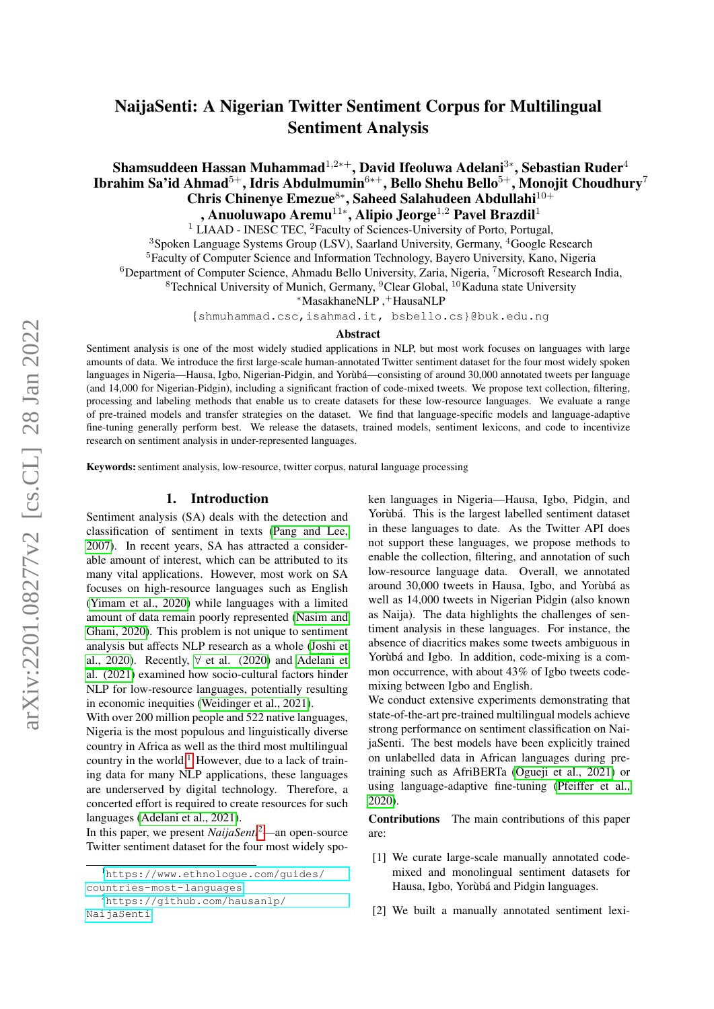# NaijaSenti: A Nigerian Twitter Sentiment Corpus for Multilingual Sentiment Analysis

# Shamsuddeen Hassan Muhammad $^{1,2*+},$  David Ifeoluwa Adelani $^{3*},$  Sebastian Ruder $^4$ Ibrahim Sa'id Ahmad $^{5+},$  Idris Abdulmumin $^{6*+},$  Bello Shehu Bello $^{5+},$  Monojit Choudhury $^7$ Chris Chinenye Emezue<sup>8∗</sup>, Saheed Salahudeen Abdullahi<sup>10+</sup> , Anuoluwapo Aremu $^{11*}$ , Alipio Jeorge $^{1,2}$  Pavel Brazdil $^1$

 $1 \overline{\text{LIAAD}}$  - INESC TEC, <sup>2</sup> Faculty of Sciences-University of Porto, Portugal,

<sup>3</sup>Spoken Language Systems Group (LSV), Saarland University, Germany, <sup>4</sup>Google Research

<sup>5</sup>Faculty of Computer Science and Information Technology, Bayero University, Kano, Nigeria

<sup>6</sup>Department of Computer Science, Ahmadu Bello University, Zaria, Nigeria, <sup>7</sup>Microsoft Research India,

<sup>8</sup>Technical University of Munich, Germany, <sup>9</sup>Clear Global, <sup>10</sup>Kaduna state University

<sup>∗</sup>MasakhaneNLP ,+HausaNLP

{shmuhammad.csc,isahmad.it, bsbello.cs}@buk.edu.ng

#### Abstract

Sentiment analysis is one of the most widely studied applications in NLP, but most work focuses on languages with large amounts of data. We introduce the first large-scale human-annotated Twitter sentiment dataset for the four most widely spoken languages in Nigeria—Hausa, Igbo, Nigerian-Pidgin, and Yorùbá—consisting of around 30,000 annotated tweets per language (and 14,000 for Nigerian-Pidgin), including a significant fraction of code-mixed tweets. We propose text collection, filtering, processing and labeling methods that enable us to create datasets for these low-resource languages. We evaluate a range of pre-trained models and transfer strategies on the dataset. We find that language-specific models and language-adaptive fine-tuning generally perform best. We release the datasets, trained models, sentiment lexicons, and code to incentivize research on sentiment analysis in under-represented languages.

Keywords: sentiment analysis, low-resource, twitter corpus, natural language processing

### 1. Introduction

Sentiment analysis (SA) deals with the detection and classification of sentiment in texts [\(Pang and Lee,](#page-10-0) [2007\)](#page-10-0). In recent years, SA has attracted a considerable amount of interest, which can be attributed to its many vital applications. However, most work on SA focuses on high-resource languages such as English [\(Yimam et al., 2020\)](#page-11-0) while languages with a limited amount of data remain poorly represented [\(Nasim and](#page-9-0) [Ghani, 2020\)](#page-9-0). This problem is not unique to sentiment analysis but affects NLP research as a whole [\(Joshi et](#page-9-1) [al., 2020\)](#page-9-1). Recently,  $\forall$  [et al. \(2020\)](#page-8-0) and [Adelani et](#page-8-1) [al. \(2021\)](#page-8-1) examined how socio-cultural factors hinder NLP for low-resource languages, potentially resulting in economic inequities [\(Weidinger et al., 2021\)](#page-10-1).

With over 200 million people and 522 native languages, Nigeria is the most populous and linguistically diverse country in Africa as well as the third most multilingual country in the world.<sup>[1](#page-0-0)</sup> However, due to a lack of training data for many NLP applications, these languages are underserved by digital technology. Therefore, a concerted effort is required to create resources for such languages [\(Adelani et al., 2021\)](#page-8-1).

In this paper, we present *NaijaSenti*[2](#page-0-1)—an open-source Twitter sentiment dataset for the four most widely spoken languages in Nigeria—Hausa, Igbo, Pidgin, and Yorùbá. This is the largest labelled sentiment dataset in these languages to date. As the Twitter API does not support these languages, we propose methods to enable the collection, filtering, and annotation of such low-resource language data. Overall, we annotated around 30,000 tweets in Hausa, Igbo, and Yorùbá as well as 14,000 tweets in Nigerian Pidgin (also known as Naija). The data highlights the challenges of sentiment analysis in these languages. For instance, the absence of diacritics makes some tweets ambiguous in Yorùbá and Igbo. In addition, code-mixing is a common occurrence, with about 43% of Igbo tweets codemixing between Igbo and English.

We conduct extensive experiments demonstrating that state-of-the-art pre-trained multilingual models achieve strong performance on sentiment classification on NaijaSenti. The best models have been explicitly trained on unlabelled data in African languages during pretraining such as AfriBERTa [\(Ogueji et al., 2021\)](#page-10-2) or using language-adaptive fine-tuning [\(Pfeiffer et al.,](#page-10-3) [2020\)](#page-10-3).

Contributions The main contributions of this paper are:

- [1] We curate large-scale manually annotated codemixed and monolingual sentiment datasets for Hausa, Igbo, Yorùbá and Pidgin languages.
- [2] We built a manually annotated sentiment lexi-

<span id="page-0-0"></span><sup>1</sup>[https://www.ethnologue.com/guides/](https://www.ethnologue.com/guides/countries-most-languages) [countries-most-languages](https://www.ethnologue.com/guides/countries-most-languages)

<span id="page-0-1"></span><sup>2</sup>[https://github.com/hausanlp/](https://github.com/hausanlp/NaijaSenti) [NaijaSenti](https://github.com/hausanlp/NaijaSenti)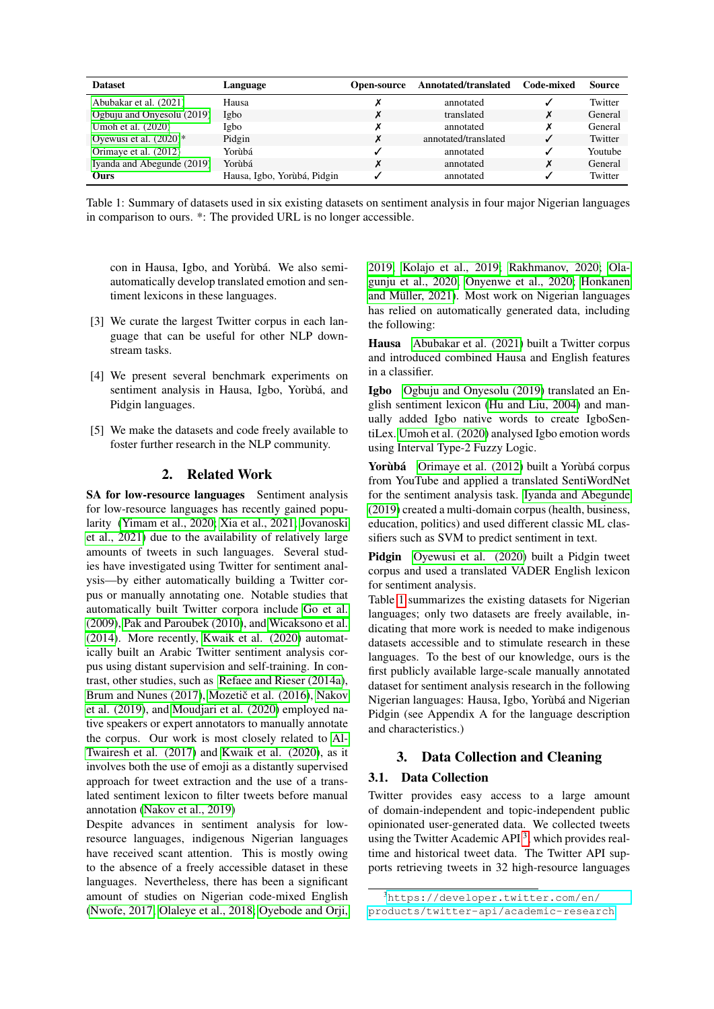| <b>Dataset</b>             | Language                    | Open-source | Annotated/translated | <b>Code-mixed</b> | <b>Source</b> |
|----------------------------|-----------------------------|-------------|----------------------|-------------------|---------------|
| Abubakar et al. (2021)     | Hausa                       |             | annotated            |                   | Twitter       |
| Ogbuju and Onyesolu (2019) | Igbo                        |             | translated           | Х                 | General       |
| Umoh et al. (2020)         | Igbo                        |             | annotated            | Х                 | General       |
| Oyewusi et al. $(2020)^*$  | Pidgin                      | X           | annotated/translated |                   | Twitter       |
| Orimaye et al. (2012)      | Yorùbá                      |             | annotated            | ✓                 | Youtube       |
| Iyanda and Abegunde (2019) | Yorùbá                      |             | annotated            | Х                 | General       |
| Ours                       | Hausa, Igbo, Yorùbá, Pidgin |             | annotated            |                   | Twitter       |

<span id="page-1-0"></span>Table 1: Summary of datasets used in six existing datasets on sentiment analysis in four major Nigerian languages in comparison to ours. \*: The provided URL is no longer accessible.

con in Hausa, Igbo, and Yorùbá. We also semiautomatically develop translated emotion and sentiment lexicons in these languages.

- [3] We curate the largest Twitter corpus in each language that can be useful for other NLP downstream tasks.
- [4] We present several benchmark experiments on sentiment analysis in Hausa, Igbo, Yorùbá, and Pidgin languages.
- [5] We make the datasets and code freely available to foster further research in the NLP community.

# 2. Related Work

SA for low-resource languages Sentiment analysis for low-resource languages has recently gained popularity [\(Yimam et al., 2020;](#page-11-0) [Xia et al., 2021;](#page-11-1) [Jovanoski](#page-9-3) [et al., 2021\)](#page-9-3) due to the availability of relatively large amounts of tweets in such languages. Several studies have investigated using Twitter for sentiment analysis—by either automatically building a Twitter corpus or manually annotating one. Notable studies that automatically built Twitter corpora include [Go et al.](#page-9-4) [\(2009\)](#page-9-4), [Pak and Paroubek \(2010\)](#page-10-8), and [Wicaksono et al.](#page-11-2) [\(2014\)](#page-11-2). More recently, [Kwaik et al. \(2020\)](#page-9-5) automatically built an Arabic Twitter sentiment analysis corpus using distant supervision and self-training. In contrast, other studies, such as [Refaee and Rieser \(2014a\)](#page-10-9), [Brum and Nunes \(2017\)](#page-8-3), Mozetič et al. (2016), [Nakov](#page-9-7) [et al. \(2019\)](#page-9-7), and [Moudjari et al. \(2020\)](#page-9-8) employed native speakers or expert annotators to manually annotate the corpus. Our work is most closely related to [Al-](#page-8-4)[Twairesh et al. \(2017\)](#page-8-4) and [Kwaik et al. \(2020\)](#page-9-5), as it involves both the use of emoji as a distantly supervised approach for tweet extraction and the use of a translated sentiment lexicon to filter tweets before manual annotation [\(Nakov et al., 2019\)](#page-9-7)

Despite advances in sentiment analysis for lowresource languages, indigenous Nigerian languages have received scant attention. This is mostly owing to the absence of a freely accessible dataset in these languages. Nevertheless, there has been a significant amount of studies on Nigerian code-mixed English [\(Nwofe, 2017;](#page-9-9) [Olaleye et al., 2018;](#page-10-10) [Oyebode and Orji,](#page-10-11) [2019;](#page-10-11) [Kolajo et al., 2019;](#page-9-10) [Rakhmanov, 2020;](#page-10-12) [Ola](#page-10-13)[gunju et al., 2020;](#page-10-13) [Onyenwe et al., 2020;](#page-10-14) [Honkanen](#page-9-11) [and Müller, 2021\)](#page-9-11). Most work on Nigerian languages has relied on automatically generated data, including the following:

Hausa [Abubakar et al. \(2021\)](#page-8-2) built a Twitter corpus and introduced combined Hausa and English features in a classifier.

Igbo [Ogbuju and Onyesolu \(2019\)](#page-10-4) translated an English sentiment lexicon [\(Hu and Liu, 2004\)](#page-9-12) and manually added Igbo native words to create IgboSentiLex. [Umoh et al. \(2020\)](#page-10-5) analysed Igbo emotion words using Interval Type-2 Fuzzy Logic.

Yorùbá [Orimaye et al. \(2012\)](#page-10-7) built a Yorùbá corpus from YouTube and applied a translated SentiWordNet for the sentiment analysis task. [Iyanda and Abegunde](#page-9-2) [\(2019\)](#page-9-2) created a multi-domain corpus (health, business, education, politics) and used different classic ML classifiers such as SVM to predict sentiment in text.

Pidgin [Oyewusi et al. \(2020\)](#page-10-6) built a Pidgin tweet corpus and used a translated VADER English lexicon for sentiment analysis.

Table [1](#page-1-0) summarizes the existing datasets for Nigerian languages; only two datasets are freely available, indicating that more work is needed to make indigenous datasets accessible and to stimulate research in these languages. To the best of our knowledge, ours is the first publicly available large-scale manually annotated dataset for sentiment analysis research in the following Nigerian languages: Hausa, Igbo, Yorùbá and Nigerian Pidgin (see Appendix A for the language description and characteristics.)

# 3. Data Collection and Cleaning

# 3.1. Data Collection

Twitter provides easy access to a large amount of domain-independent and topic-independent public opinionated user-generated data. We collected tweets using the Twitter Academic API $<sup>3</sup>$  $<sup>3</sup>$  $<sup>3</sup>$ , which provides real-</sup> time and historical tweet data. The Twitter API supports retrieving tweets in 32 high-resource languages

<span id="page-1-1"></span><sup>3</sup>[https://developer.twitter.com/en/](https://developer.twitter.com/en/products/twitter-api/academic-research) [products/twitter-api/academic-research](https://developer.twitter.com/en/products/twitter-api/academic-research)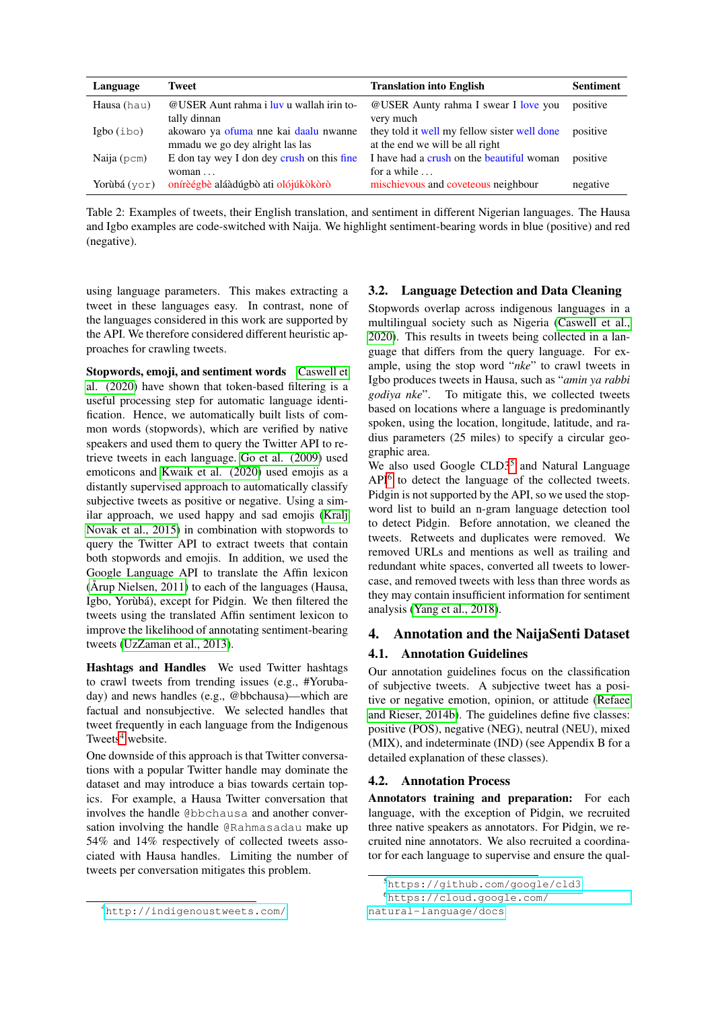| Language     | Tweet                                                                    | <b>Translation into English</b>                                                 | <b>Sentiment</b> |
|--------------|--------------------------------------------------------------------------|---------------------------------------------------------------------------------|------------------|
| Hausa (hau)  | @USER Aunt rahma i luy u wallah irin to-<br>tally dinnan                 | @USER Aunty rahma I swear I love you<br>very much                               | positive         |
| Igbo(ibo)    | akowaro ya ofuma nne kai daalu nwanne<br>mmadu we go dey alright las las | they told it well my fellow sister well done<br>at the end we will be all right | positive         |
| Naija (pcm)  | E don tay wey I don dey crush on this fine<br>woman $\dots$              | I have had a crush on the beautiful woman<br>for a while $\dots$                | positive         |
| Yorùbá (vor) | onírèégbè aláàdúgbò ati olójúkòkòrò                                      | mischievous and coveteous neighbour                                             | negative         |

Table 2: Examples of tweets, their English translation, and sentiment in different Nigerian languages. The Hausa and Igbo examples are code-switched with Naija. We highlight sentiment-bearing words in blue (positive) and red (negative).

using language parameters. This makes extracting a tweet in these languages easy. In contrast, none of the languages considered in this work are supported by the API. We therefore considered different heuristic approaches for crawling tweets.

Stopwords, emoji, and sentiment words [Caswell et](#page-8-5) [al. \(2020\)](#page-8-5) have shown that token-based filtering is a useful processing step for automatic language identification. Hence, we automatically built lists of common words (stopwords), which are verified by native speakers and used them to query the Twitter API to retrieve tweets in each language. [Go et al. \(2009\)](#page-9-4) used emoticons and [Kwaik et al. \(2020\)](#page-9-5) used emojis as a distantly supervised approach to automatically classify subjective tweets as positive or negative. Using a similar approach, we used happy and sad emojis [\(Kralj](#page-9-13) [Novak et al., 2015\)](#page-9-13) in combination with stopwords to query the Twitter API to extract tweets that contain both stopwords and emojis. In addition, we used the Google Language API to translate the Affin lexicon [\(Årup Nielsen, 2011\)](#page-11-3) to each of the languages (Hausa, Igbo, Yorùbá), except for Pidgin. We then filtered the tweets using the translated Affin sentiment lexicon to improve the likelihood of annotating sentiment-bearing tweets [\(UzZaman et al., 2013\)](#page-10-15).

Hashtags and Handles We used Twitter hashtags to crawl tweets from trending issues (e.g., #Yorubaday) and news handles (e.g., @bbchausa)—which are factual and nonsubjective. We selected handles that tweet frequently in each language from the Indigenous Tweets $4$  website.

One downside of this approach is that Twitter conversations with a popular Twitter handle may dominate the dataset and may introduce a bias towards certain topics. For example, a Hausa Twitter conversation that involves the handle @bbchausa and another conversation involving the handle @Rahmasadau make up 54% and 14% respectively of collected tweets associated with Hausa handles. Limiting the number of tweets per conversation mitigates this problem.

# 3.2. Language Detection and Data Cleaning

Stopwords overlap across indigenous languages in a multilingual society such as Nigeria [\(Caswell et al.,](#page-8-5) [2020\)](#page-8-5). This results in tweets being collected in a language that differs from the query language. For example, using the stop word "*nke*" to crawl tweets in Igbo produces tweets in Hausa, such as "*amin ya rabbi godiya nke*". To mitigate this, we collected tweets based on locations where a language is predominantly spoken, using the location, longitude, latitude, and radius parameters (25 miles) to specify a circular geographic area.

We also used Google CLD3<sup>[5](#page-2-1)</sup> and Natural Language API<sup>[6](#page-2-2)</sup> to detect the language of the collected tweets. Pidgin is not supported by the API, so we used the stopword list to build an n-gram language detection tool to detect Pidgin. Before annotation, we cleaned the tweets. Retweets and duplicates were removed. We removed URLs and mentions as well as trailing and redundant white spaces, converted all tweets to lowercase, and removed tweets with less than three words as they may contain insufficient information for sentiment analysis [\(Yang et al., 2018\)](#page-11-4).

# 4. Annotation and the NaijaSenti Dataset

# 4.1. Annotation Guidelines

Our annotation guidelines focus on the classification of subjective tweets. A subjective tweet has a positive or negative emotion, opinion, or attitude [\(Refaee](#page-10-16) [and Rieser, 2014b\)](#page-10-16). The guidelines define five classes: positive (POS), negative (NEG), neutral (NEU), mixed (MIX), and indeterminate (IND) (see Appendix B for a detailed explanation of these classes).

# 4.2. Annotation Process

Annotators training and preparation: For each language, with the exception of Pidgin, we recruited three native speakers as annotators. For Pidgin, we recruited nine annotators. We also recruited a coordinator for each language to supervise and ensure the qual-

<span id="page-2-2"></span><span id="page-2-1"></span><sup>5</sup><https://github.com/google/cld3>

<sup>6</sup>[https://cloud.google.com/](https://cloud.google.com/natural-language/docs)

[natural-language/docs](https://cloud.google.com/natural-language/docs)

<span id="page-2-0"></span><sup>4</sup><http://indigenoustweets.com/>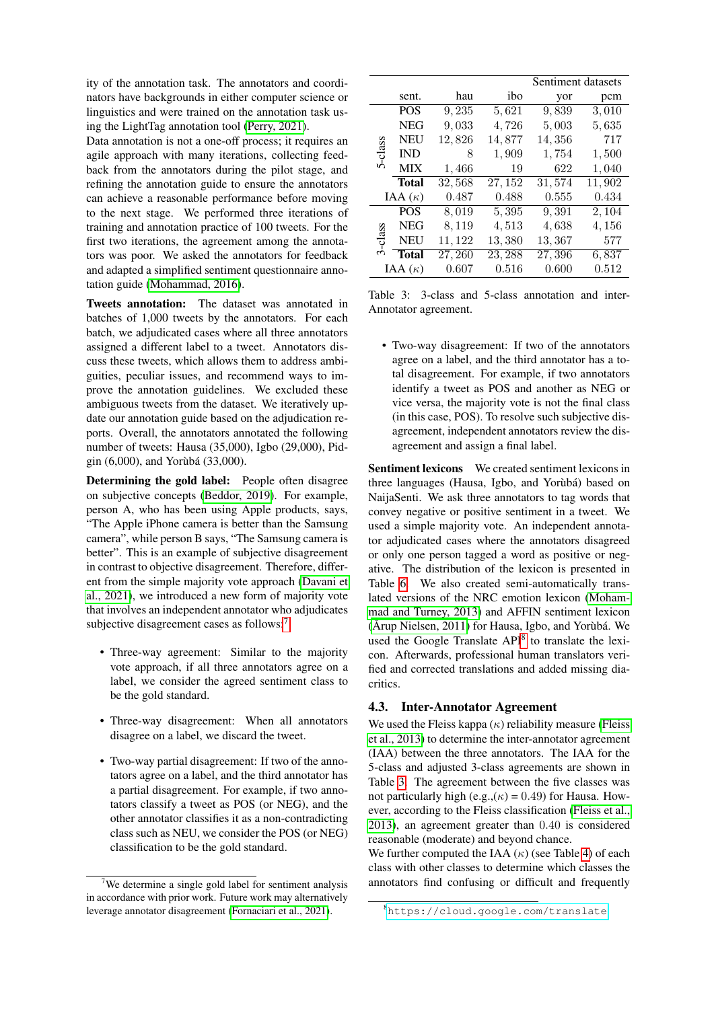ity of the annotation task. The annotators and coordinators have backgrounds in either computer science or linguistics and were trained on the annotation task using the LightTag annotation tool [\(Perry, 2021\)](#page-10-17).

Data annotation is not a one-off process; it requires an agile approach with many iterations, collecting feedback from the annotators during the pilot stage, and refining the annotation guide to ensure the annotators can achieve a reasonable performance before moving to the next stage. We performed three iterations of training and annotation practice of 100 tweets. For the first two iterations, the agreement among the annotators was poor. We asked the annotators for feedback and adapted a simplified sentiment questionnaire annotation guide [\(Mohammad, 2016\)](#page-9-14).

Tweets annotation: The dataset was annotated in batches of 1,000 tweets by the annotators. For each batch, we adjudicated cases where all three annotators assigned a different label to a tweet. Annotators discuss these tweets, which allows them to address ambiguities, peculiar issues, and recommend ways to improve the annotation guidelines. We excluded these ambiguous tweets from the dataset. We iteratively update our annotation guide based on the adjudication reports. Overall, the annotators annotated the following number of tweets: Hausa (35,000), Igbo (29,000), Pidgin (6,000), and Yorùbá (33,000).

Determining the gold label: People often disagree on subjective concepts [\(Beddor, 2019\)](#page-8-6). For example, person A, who has been using Apple products, says, "The Apple iPhone camera is better than the Samsung camera", while person B says, "The Samsung camera is better". This is an example of subjective disagreement in contrast to objective disagreement. Therefore, different from the simple majority vote approach [\(Davani et](#page-8-7) [al., 2021\)](#page-8-7), we introduced a new form of majority vote that involves an independent annotator who adjudicates subjective disagreement cases as follows:<sup>[7](#page-3-0)</sup>

- Three-way agreement: Similar to the majority vote approach, if all three annotators agree on a label, we consider the agreed sentiment class to be the gold standard.
- Three-way disagreement: When all annotators disagree on a label, we discard the tweet.
- Two-way partial disagreement: If two of the annotators agree on a label, and the third annotator has a partial disagreement. For example, if two annotators classify a tweet as POS (or NEG), and the other annotator classifies it as a non-contradicting class such as NEU, we consider the POS (or NEG) classification to be the gold standard.

|        |                |        | Sentiment datasets |        |        |  |  |
|--------|----------------|--------|--------------------|--------|--------|--|--|
|        | sent.          | hau    | ibo                | yor    | pcm    |  |  |
|        | <b>POS</b>     | 9,235  | 5,621              | 9,839  | 3,010  |  |  |
|        | <b>NEG</b>     | 9,033  | 4,726              | 5,003  | 5,635  |  |  |
|        | <b>NEU</b>     | 12,826 | 14,877             | 14,356 | 717    |  |  |
| -class | <b>IND</b>     | 8      | 1,909              | 1,754  | 1,500  |  |  |
| ۱Ò     | <b>MIX</b>     | 1,466  | 19                 | 622    | 1,040  |  |  |
|        | Total          | 32,568 | 27, 152            | 31,574 | 11,902 |  |  |
|        | IAA $(\kappa)$ | 0.487  | 0.488              | 0.555  | 0.434  |  |  |
|        | <b>POS</b>     | 8,019  | 5,395              | 9,391  | 2,104  |  |  |
|        | <b>NEG</b>     | 8,119  | 4,513              | 4,638  | 4,156  |  |  |
| -class | <b>NEU</b>     | 11,122 | 13,380             | 13,367 | 577    |  |  |
| 3      | <b>Total</b>   | 27,260 | 23, 288            | 27,396 | 6,837  |  |  |
|        | IAA $(\kappa)$ | 0.607  | 0.516              | 0.600  | 0.512  |  |  |

<span id="page-3-2"></span>Table 3: 3-class and 5-class annotation and inter-Annotator agreement.

• Two-way disagreement: If two of the annotators agree on a label, and the third annotator has a total disagreement. For example, if two annotators identify a tweet as POS and another as NEG or vice versa, the majority vote is not the final class (in this case, POS). To resolve such subjective disagreement, independent annotators review the disagreement and assign a final label.

Sentiment lexicons We created sentiment lexicons in three languages (Hausa, Igbo, and Yorùbá) based on NaijaSenti. We ask three annotators to tag words that convey negative or positive sentiment in a tweet. We used a simple majority vote. An independent annotator adjudicated cases where the annotators disagreed or only one person tagged a word as positive or negative. The distribution of the lexicon is presented in Table [6.](#page-5-0) We also created semi-automatically translated versions of the NRC emotion lexicon [\(Moham](#page-9-16)[mad and Turney, 2013\)](#page-9-16) and AFFIN sentiment lexicon [\(Årup Nielsen, 2011\)](#page-11-3) for Hausa, Igbo, and Yorùbá. We used the Google Translate API<sup>[8](#page-3-1)</sup> to translate the lexicon. Afterwards, professional human translators verified and corrected translations and added missing diacritics.

# 4.3. Inter-Annotator Agreement

We used the Fleiss kappa  $(\kappa)$  reliability measure [\(Fleiss](#page-8-8) [et al., 2013\)](#page-8-8) to determine the inter-annotator agreement (IAA) between the three annotators. The IAA for the 5-class and adjusted 3-class agreements are shown in Table [3.](#page-3-2) The agreement between the five classes was not particularly high (e.g., $(\kappa) = 0.49$ ) for Hausa. However, according to the Fleiss classification [\(Fleiss et al.,](#page-8-8) [2013\)](#page-8-8), an agreement greater than 0.40 is considered reasonable (moderate) and beyond chance.

We further computed the IAA  $(\kappa)$  (see Table [4\)](#page-4-0) of each class with other classes to determine which classes the annotators find confusing or difficult and frequently

<span id="page-3-0"></span><sup>&</sup>lt;sup>7</sup>We determine a single gold label for sentiment analysis in accordance with prior work. Future work may alternatively leverage annotator disagreement [\(Fornaciari et al., 2021\)](#page-9-15).

<span id="page-3-1"></span><sup>8</sup><https://cloud.google.com/translate>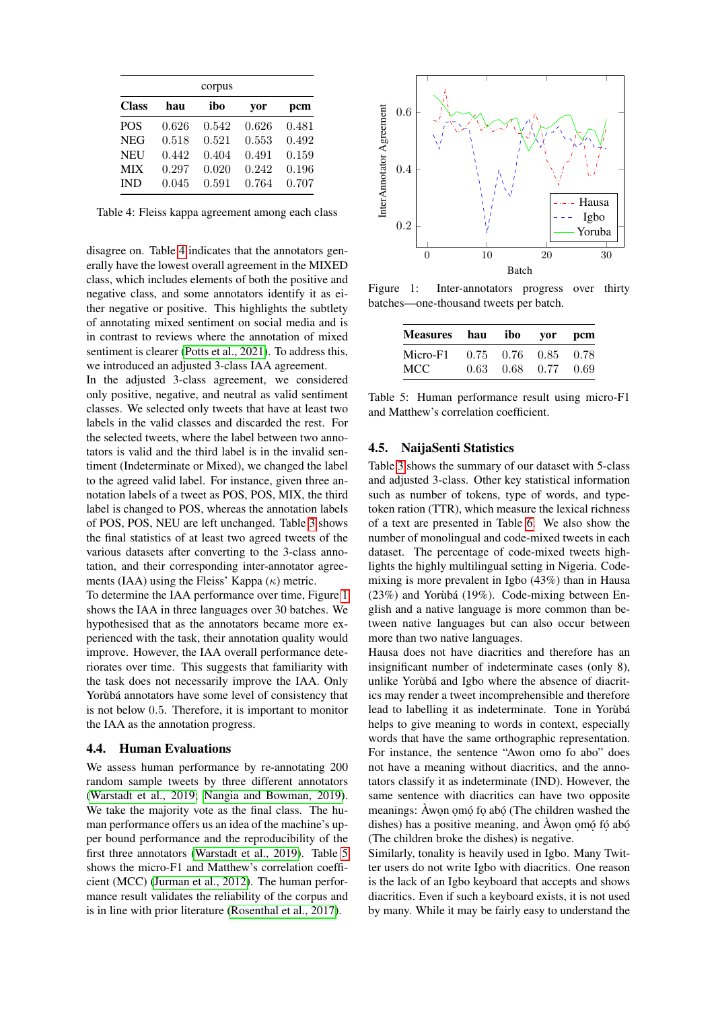| corpus       |       |       |       |       |  |  |  |
|--------------|-------|-------|-------|-------|--|--|--|
| <b>Class</b> | hau   | ibo   | yor   | pcm   |  |  |  |
| <b>POS</b>   | 0.626 | 0.542 | 0.626 | 0.481 |  |  |  |
| <b>NEG</b>   | 0.518 | 0.521 | 0.553 | 0.492 |  |  |  |
| <b>NEU</b>   | 0.442 | 0.404 | 0.491 | 0.159 |  |  |  |
| <b>MIX</b>   | 0.297 | 0.020 | 0.242 | 0.196 |  |  |  |
| <b>IND</b>   | 0.045 | 0.591 | 0.764 | 0.707 |  |  |  |

<span id="page-4-0"></span>Table 4: Fleiss kappa agreement among each class

disagree on. Table [4](#page-4-0) indicates that the annotators generally have the lowest overall agreement in the MIXED class, which includes elements of both the positive and negative class, and some annotators identify it as either negative or positive. This highlights the subtlety of annotating mixed sentiment on social media and is in contrast to reviews where the annotation of mixed sentiment is clearer [\(Potts et al., 2021\)](#page-10-18). To address this, we introduced an adjusted 3-class IAA agreement.

In the adjusted 3-class agreement, we considered only positive, negative, and neutral as valid sentiment classes. We selected only tweets that have at least two labels in the valid classes and discarded the rest. For the selected tweets, where the label between two annotators is valid and the third label is in the invalid sentiment (Indeterminate or Mixed), we changed the label to the agreed valid label. For instance, given three annotation labels of a tweet as POS, POS, MIX, the third label is changed to POS, whereas the annotation labels of POS, POS, NEU are left unchanged. Table [3](#page-3-2) shows the final statistics of at least two agreed tweets of the various datasets after converting to the 3-class annotation, and their corresponding inter-annotator agreements (IAA) using the Fleiss' Kappa  $(\kappa)$  metric.

To determine the IAA performance over time, Figure [1](#page-4-1) shows the IAA in three languages over 30 batches. We hypothesised that as the annotators became more experienced with the task, their annotation quality would improve. However, the IAA overall performance deteriorates over time. This suggests that familiarity with the task does not necessarily improve the IAA. Only Yorùbá annotators have some level of consistency that is not below 0.5. Therefore, it is important to monitor the IAA as the annotation progress.

#### 4.4. Human Evaluations

We assess human performance by re-annotating 200 random sample tweets by three different annotators [\(Warstadt et al., 2019;](#page-10-19) [Nangia and Bowman, 2019\)](#page-9-17). We take the majority vote as the final class. The human performance offers us an idea of the machine's upper bound performance and the reproducibility of the first three annotators [\(Warstadt et al., 2019\)](#page-10-19). Table [5](#page-4-2) shows the micro-F1 and Matthew's correlation coefficient (MCC) [\(Jurman et al., 2012\)](#page-9-18). The human performance result validates the reliability of the corpus and is in line with prior literature [\(Rosenthal et al., 2017\)](#page-10-20).



Figure 1: Inter-annotators progress over thirty batches—one-thousand tweets per batch.

<span id="page-4-1"></span>

| Measures hau ibo yor pcm |      |                   |           |      |
|--------------------------|------|-------------------|-----------|------|
| Micro-F1                 |      | $0.75 \quad 0.76$ | 0.85 0.78 |      |
| MCC.                     | 0.63 | 0.68              | 0.77      | 0.69 |

<span id="page-4-2"></span>Table 5: Human performance result using micro-F1 and Matthew's correlation coefficient.

#### 4.5. NaijaSenti Statistics

Table [3](#page-3-2) shows the summary of our dataset with 5-class and adjusted 3-class. Other key statistical information such as number of tokens, type of words, and typetoken ration (TTR), which measure the lexical richness of a text are presented in Table [6.](#page-5-0) We also show the number of monolingual and code-mixed tweets in each dataset. The percentage of code-mixed tweets highlights the highly multilingual setting in Nigeria. Codemixing is more prevalent in Igbo (43%) than in Hausa (23%) and Yorùbá (19%). Code-mixing between English and a native language is more common than between native languages but can also occur between more than two native languages.

Hausa does not have diacritics and therefore has an insignificant number of indeterminate cases (only 8), unlike Yorùbá and Igbo where the absence of diacritics may render a tweet incomprehensible and therefore lead to labelling it as indeterminate. Tone in Yorùbá helps to give meaning to words in context, especially words that have the same orthographic representation. For instance, the sentence "Awon omo fo abo" does not have a meaning without diacritics, and the annotators classify it as indeterminate (IND). However, the same sentence with diacritics can have two opposite meanings: Àwon omó fo abó (The children washed the dishes) has a positive meaning, and Àwon omó fó abó. (The children broke the dishes) is negative.

Similarly, tonality is heavily used in Igbo. Many Twitter users do not write Igbo with diacritics. One reason is the lack of an Igbo keyboard that accepts and shows diacritics. Even if such a keyboard exists, it is not used by many. While it may be fairly easy to understand the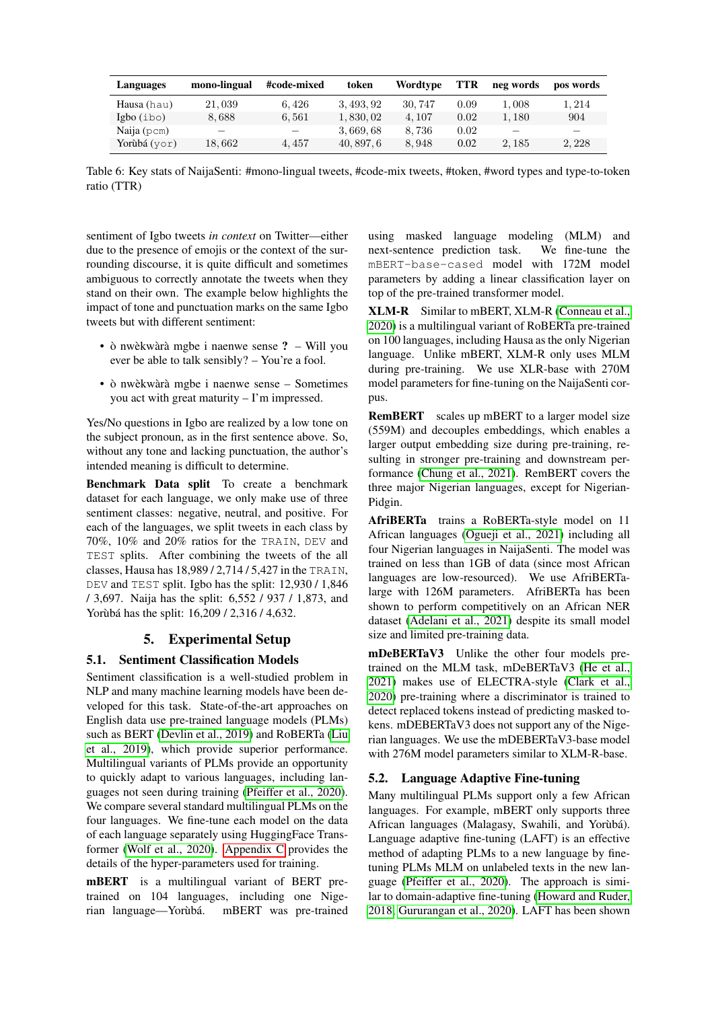| Languages    | mono-lingual             | #code-mixed              | token      | Wordtype | TTR  | neg words | pos words                |
|--------------|--------------------------|--------------------------|------------|----------|------|-----------|--------------------------|
| Hausa (hau)  | 21,039                   | 6.426                    | 3, 493, 92 | 30, 747  | 0.09 | 1,008     | 1.214                    |
| Igbo(ibo)    | 8.688                    | 6,561                    | 1,830,02   | 4.107    | 0.02 | 1.180     | 904                      |
| Naija (pcm)  | $\overline{\phantom{a}}$ | $\overline{\phantom{0}}$ | 3,669,68   | 8.736    | 0.02 |           | $\overline{\phantom{a}}$ |
| Yorùbá (yor) | 18.662                   | 4.457                    | 40, 897, 6 | 8.948    | 0.02 | 2, 185    | 2, 228                   |

<span id="page-5-0"></span>Table 6: Key stats of NaijaSenti: #mono-lingual tweets, #code-mix tweets, #token, #word types and type-to-token ratio (TTR)

sentiment of Igbo tweets *in context* on Twitter—either due to the presence of emojis or the context of the surrounding discourse, it is quite difficult and sometimes ambiguous to correctly annotate the tweets when they stand on their own. The example below highlights the impact of tone and punctuation marks on the same Igbo tweets but with different sentiment:

- ò nwèkwàrà mgbe i naenwe sense ? Will you ever be able to talk sensibly? – You're a fool.
- ò nwèkwàrà mgbe i naenwe sense Sometimes you act with great maturity – I'm impressed.

Yes/No questions in Igbo are realized by a low tone on the subject pronoun, as in the first sentence above. So, without any tone and lacking punctuation, the author's intended meaning is difficult to determine.

Benchmark Data split To create a benchmark dataset for each language, we only make use of three sentiment classes: negative, neutral, and positive. For each of the languages, we split tweets in each class by 70%, 10% and 20% ratios for the TRAIN, DEV and TEST splits. After combining the tweets of the all classes, Hausa has 18,989 / 2,714 / 5,427 in the TRAIN, DEV and TEST split. Igbo has the split: 12,930 / 1,846 / 3,697. Naija has the split: 6,552 / 937 / 1,873, and Yorùbá has the split: 16,209 / 2,316 / 4,632.

# 5. Experimental Setup

# 5.1. Sentiment Classification Models

Sentiment classification is a well-studied problem in NLP and many machine learning models have been developed for this task. State-of-the-art approaches on English data use pre-trained language models (PLMs) such as BERT [\(Devlin et al., 2019\)](#page-8-9) and RoBERTa [\(Liu](#page-9-19) [et al., 2019\)](#page-9-19), which provide superior performance. Multilingual variants of PLMs provide an opportunity to quickly adapt to various languages, including languages not seen during training [\(Pfeiffer et al., 2020\)](#page-10-3). We compare several standard multilingual PLMs on the four languages. We fine-tune each model on the data of each language separately using HuggingFace Transformer [\(Wolf et al., 2020\)](#page-11-5). [Appendix C](#page-12-0) provides the details of the hyper-parameters used for training.

mBERT is a multilingual variant of BERT pretrained on 104 languages, including one Nigerian language—Yorùbá. mBERT was pre-trained using masked language modeling (MLM) and next-sentence prediction task. We fine-tune the mBERT-base-cased model with 172M model parameters by adding a linear classification layer on top of the pre-trained transformer model.

XLM-R Similar to mBERT, XLM-R [\(Conneau et al.,](#page-8-10) [2020\)](#page-8-10) is a multilingual variant of RoBERTa pre-trained on 100 languages, including Hausa as the only Nigerian language. Unlike mBERT, XLM-R only uses MLM during pre-training. We use XLR-base with 270M model parameters for fine-tuning on the NaijaSenti corpus.

RemBERT scales up mBERT to a larger model size (559M) and decouples embeddings, which enables a larger output embedding size during pre-training, resulting in stronger pre-training and downstream performance [\(Chung et al., 2021\)](#page-8-11). RemBERT covers the three major Nigerian languages, except for Nigerian-Pidgin.

AfriBERTa trains a RoBERTa-style model on 11 African languages [\(Ogueji et al., 2021\)](#page-10-2) including all four Nigerian languages in NaijaSenti. The model was trained on less than 1GB of data (since most African languages are low-resourced). We use AfriBERTalarge with 126M parameters. AfriBERTa has been shown to perform competitively on an African NER dataset [\(Adelani et al., 2021\)](#page-8-1) despite its small model size and limited pre-training data.

mDeBERTaV3 Unlike the other four models pretrained on the MLM task, mDeBERTaV3 [\(He et al.,](#page-9-20) [2021\)](#page-9-20) makes use of ELECTRA-style [\(Clark et al.,](#page-8-12) [2020\)](#page-8-12) pre-training where a discriminator is trained to detect replaced tokens instead of predicting masked tokens. mDEBERTaV3 does not support any of the Nigerian languages. We use the mDEBERTaV3-base model with 276M model parameters similar to XLM-R-base.

# 5.2. Language Adaptive Fine-tuning

Many multilingual PLMs support only a few African languages. For example, mBERT only supports three African languages (Malagasy, Swahili, and Yorùbá). Language adaptive fine-tuning (LAFT) is an effective method of adapting PLMs to a new language by finetuning PLMs MLM on unlabeled texts in the new language [\(Pfeiffer et al., 2020\)](#page-10-3). The approach is similar to domain-adaptive fine-tuning [\(Howard and Ruder,](#page-9-21) [2018;](#page-9-21) [Gururangan et al., 2020\)](#page-9-22). LAFT has been shown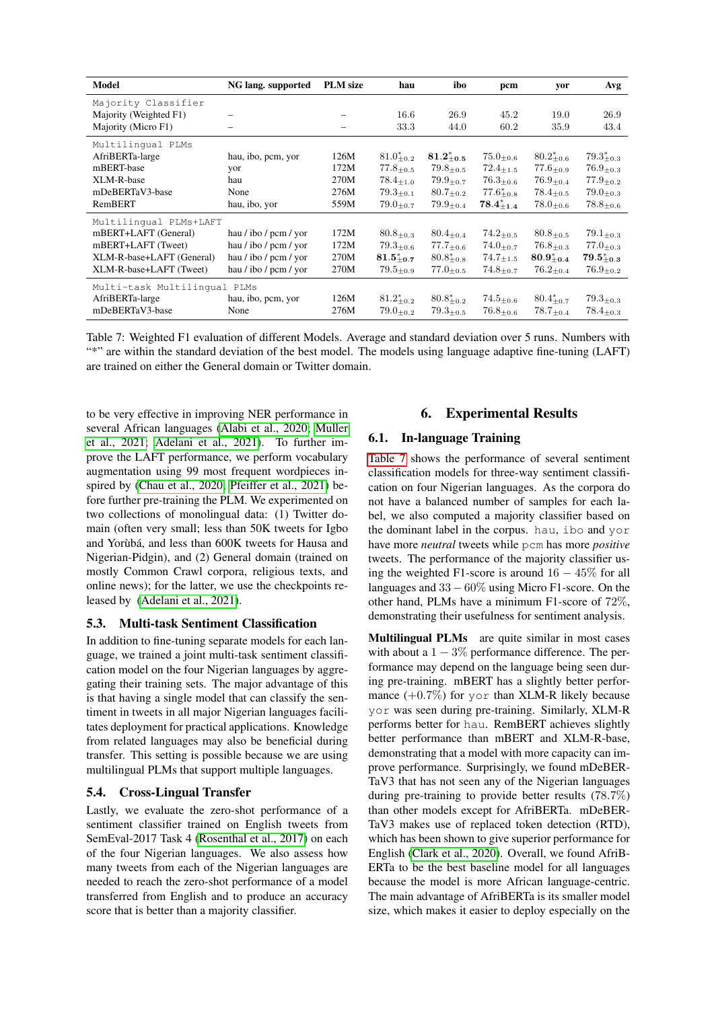| Model                        | NG lang. supported       | <b>PLM</b> size          | hau                          | ibo                         | pcm                          | yor                          | Avg               |
|------------------------------|--------------------------|--------------------------|------------------------------|-----------------------------|------------------------------|------------------------------|-------------------|
| Majority Classifier          |                          |                          |                              |                             |                              |                              |                   |
| Majority (Weighted F1)       |                          | $\overline{\phantom{0}}$ | 16.6                         | 26.9                        | 45.2                         | 19.0                         | 26.9              |
| Majority (Micro F1)          | $\overline{\phantom{0}}$ | $\overline{\phantom{m}}$ | 33.3                         | 44.0                        | 60.2                         | 35.9                         | 43.4              |
| Multilingual PLMs            |                          |                          |                              |                             |                              |                              |                   |
| AfriBERTa-large              | hau, ibo, pcm, yor       | 126M                     | $81.0^{*}_{+0.2}$            | $81.2^{*}_{+0.5}$           | $75.0_{\pm 0.6}$             | $80.2^{*}_{+0.6}$            | $79.3^{*}_{+0.3}$ |
| mBERT-base                   | yor                      | 172M                     | $77.8_{\pm 0.5}$             | $79.8_{\pm 0.5}$            | $72.4_{\pm 1.5}$             | $77.6_{\pm 0.9}$             | $76.9_{\pm 0.3}$  |
| XLM-R-base                   | hau                      | 270M                     | $78.4_{\pm 1.0}$             | $79.9_{\pm0.7}$             | $76.3_{\pm 0.6}$             | $76.9_{+0.4}$                | $77.9_{\pm 0.2}$  |
| mDeBERTaV3-base              | None                     | 276M                     | $79.3_{+0.1}$                | $80.7_{\pm 0.2}$            | $77.6^{*}_{+0.8}$            | $78.4_{\pm 0.5}$             | $79.0_{\pm 0.3}$  |
| RemBERT                      | hau, ibo, yor            | 559M                     | $79.0_{\pm 0.7}$             | $79.9_{\pm 0.4}$            | $78.4^{*}_{+1.4}$            | $78.0_{\pm 0.6}$             | $78.8_{\pm 0.6}$  |
| Multilingual PLMs+LAFT       |                          |                          |                              |                             |                              |                              |                   |
| mBERT+LAFT (General)         | hau / ibo / pcm / yor    | 172M                     | $80.8 + 0.3$                 | $80.4_{\pm 0.4}$            | $74.2_{\pm 0.5}$             | $80.8 + 0.5$                 | $79.1_{\pm 0.3}$  |
| mBERT+LAFT (Tweet)           | hau / ibo / pcm / yor    | 172M                     | $79.3_{\pm 0.6}$             | $77.7_{\pm 0.6}$            | $74.0_{+0.7}$                | $76.8_{\pm 0.3}$             | $77.0_{+0.3}$     |
| XLM-R-base+LAFT (General)    | hau / ibo / pcm / yor    | 270M                     | $81.5^{*}_{+0.7}$            | $80.8^{*}_{+0.8}$           | $74.7_{\pm 1.5}$             | $80.9^{*}_{+0.4}$            | $79.5^{*}_{+0.3}$ |
| XLM-R-base+LAFT (Tweet)      | hau / ibo / pcm / yor    | 270M                     | $79.5{\scriptstyle \pm 0.9}$ | $77.0_{\pm 0.5}$            | $74.8_{\pm 0.7}$             | $76.2_{\pm 0.4}$             | $76.9_{\pm 0.2}$  |
| Multi-task Multilingual PLMs |                          |                          |                              |                             |                              |                              |                   |
| AfriBERTa-large              | hau, ibo, pcm, yor       | 126M                     | $81.2^{*}_{+0.2}$            | $80.8^{*}_{+0.2}$           | $74.5_{\pm 0.6}$             | $80.4^{*}_{+0.7}$            | $79.3_{\pm0.3}$   |
| mDeBERTaV3-base              | None                     | 276M                     | $79.0_{\pm 0.2}$             | $79.3{\scriptstyle \pm0.5}$ | $76.8{\scriptstyle \pm 0.6}$ | $78.7{\scriptstyle \pm 0.4}$ | $78.4_{\pm 0.3}$  |

<span id="page-6-0"></span>Table 7: Weighted F1 evaluation of different Models. Average and standard deviation over 5 runs. Numbers with "\*" are within the standard deviation of the best model. The models using language adaptive fine-tuning (LAFT) are trained on either the General domain or Twitter domain.

to be very effective in improving NER performance in several African languages [\(Alabi et al., 2020;](#page-8-13) [Muller](#page-9-23) [et al., 2021;](#page-9-23) [Adelani et al., 2021\)](#page-8-1). To further improve the LAFT performance, we perform vocabulary augmentation using 99 most frequent wordpieces inspired by [\(Chau et al., 2020;](#page-8-14) [Pfeiffer et al., 2021\)](#page-10-21) before further pre-training the PLM. We experimented on two collections of monolingual data: (1) Twitter domain (often very small; less than 50K tweets for Igbo and Yorùbá, and less than 600K tweets for Hausa and Nigerian-Pidgin), and (2) General domain (trained on mostly Common Crawl corpora, religious texts, and online news); for the latter, we use the checkpoints released by [\(Adelani et al., 2021\)](#page-8-1).

# 5.3. Multi-task Sentiment Classification

In addition to fine-tuning separate models for each language, we trained a joint multi-task sentiment classification model on the four Nigerian languages by aggregating their training sets. The major advantage of this is that having a single model that can classify the sentiment in tweets in all major Nigerian languages facilitates deployment for practical applications. Knowledge from related languages may also be beneficial during transfer. This setting is possible because we are using multilingual PLMs that support multiple languages.

#### 5.4. Cross-Lingual Transfer

Lastly, we evaluate the zero-shot performance of a sentiment classifier trained on English tweets from SemEval-2017 Task 4 [\(Rosenthal et al., 2017\)](#page-10-20) on each of the four Nigerian languages. We also assess how many tweets from each of the Nigerian languages are needed to reach the zero-shot performance of a model transferred from English and to produce an accuracy score that is better than a majority classifier.

# 6. Experimental Results

# 6.1. In-language Training

[Table 7](#page-6-0) shows the performance of several sentiment classification models for three-way sentiment classification on four Nigerian languages. As the corpora do not have a balanced number of samples for each label, we also computed a majority classifier based on the dominant label in the corpus. hau, ibo and yor have more *neutral* tweets while pcm has more *positive* tweets. The performance of the majority classifier using the weighted F1-score is around  $16 - 45\%$  for all languages and  $33 - 60\%$  using Micro F1-score. On the other hand, PLMs have a minimum F1-score of 72%, demonstrating their usefulness for sentiment analysis.

Multilingual PLMs are quite similar in most cases with about a  $1 - 3\%$  performance difference. The performance may depend on the language being seen during pre-training. mBERT has a slightly better performance  $(+0.7\%)$  for yor than XLM-R likely because yor was seen during pre-training. Similarly, XLM-R performs better for hau. RemBERT achieves slightly better performance than mBERT and XLM-R-base, demonstrating that a model with more capacity can improve performance. Surprisingly, we found mDeBER-TaV3 that has not seen any of the Nigerian languages during pre-training to provide better results (78.7%) than other models except for AfriBERTa. mDeBER-TaV3 makes use of replaced token detection (RTD), which has been shown to give superior performance for English [\(Clark et al., 2020\)](#page-8-12). Overall, we found AfriB-ERTa to be the best baseline model for all languages because the model is more African language-centric. The main advantage of AfriBERTa is its smaller model size, which makes it easier to deploy especially on the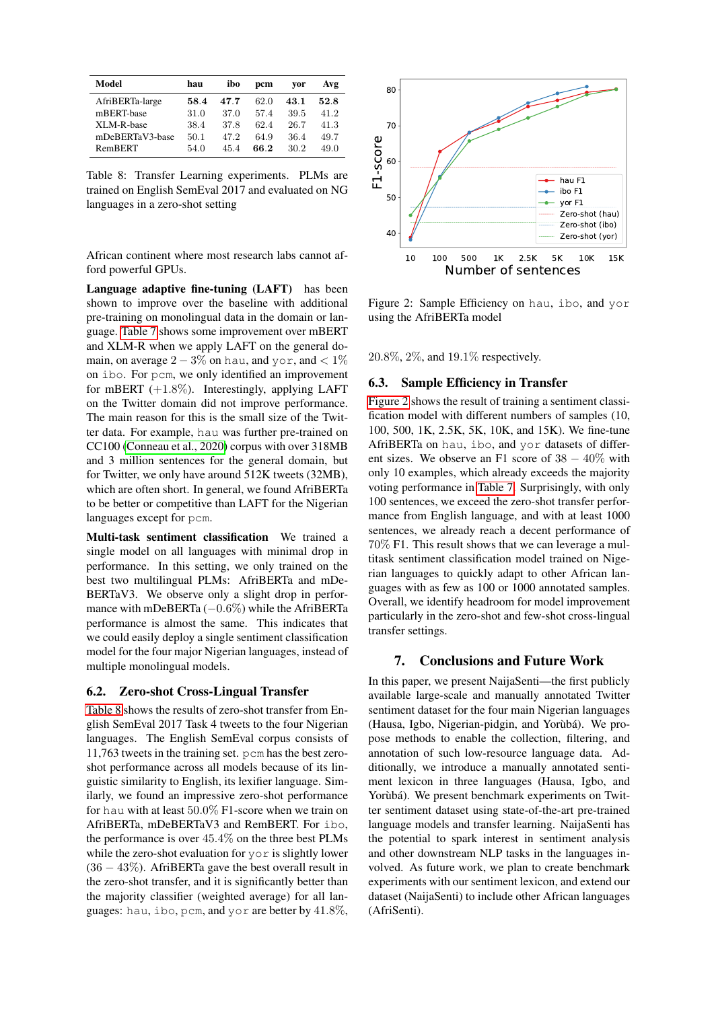| Model           | hau  | ibo  | pcm  | vor  | Avg  |
|-----------------|------|------|------|------|------|
| AfriBERTa-large | 58.4 | 47.7 | 62.0 | 43.1 | 52.8 |
| mBERT-base      | 31.0 | 37.0 | 57.4 | 39.5 | 41.2 |
| XLM-R-base      | 38.4 | 37.8 | 62.4 | 26.7 | 41.3 |
| mDeBERTaV3-base | 50.1 | 47.2 | 64.9 | 36.4 | 49.7 |
| RemBERT         | 54.0 | 45.4 | 66.2 | 30.2 | 49.0 |

<span id="page-7-0"></span>Table 8: Transfer Learning experiments. PLMs are trained on English SemEval 2017 and evaluated on NG languages in a zero-shot setting

African continent where most research labs cannot afford powerful GPUs.

Language adaptive fine-tuning (LAFT) has been shown to improve over the baseline with additional pre-training on monolingual data in the domain or language. [Table 7](#page-6-0) shows some improvement over mBERT and XLM-R when we apply LAFT on the general domain, on average  $2 - 3\%$  on hau, and yor, and < 1% on ibo. For pcm, we only identified an improvement for mBERT (+1.8%). Interestingly, applying LAFT on the Twitter domain did not improve performance. The main reason for this is the small size of the Twitter data. For example, hau was further pre-trained on CC100 [\(Conneau et al., 2020\)](#page-8-10) corpus with over 318MB and 3 million sentences for the general domain, but for Twitter, we only have around 512K tweets (32MB), which are often short. In general, we found AfriBERTa to be better or competitive than LAFT for the Nigerian languages except for pcm.

Multi-task sentiment classification We trained a single model on all languages with minimal drop in performance. In this setting, we only trained on the best two multilingual PLMs: AfriBERTa and mDe-BERTaV3. We observe only a slight drop in performance with mDeBERTa (−0.6%) while the AfriBERTa performance is almost the same. This indicates that we could easily deploy a single sentiment classification model for the four major Nigerian languages, instead of multiple monolingual models.

#### 6.2. Zero-shot Cross-Lingual Transfer

[Table 8](#page-7-0) shows the results of zero-shot transfer from English SemEval 2017 Task 4 tweets to the four Nigerian languages. The English SemEval corpus consists of 11,763 tweets in the training set. pcm has the best zeroshot performance across all models because of its linguistic similarity to English, its lexifier language. Similarly, we found an impressive zero-shot performance for hau with at least 50.0% F1-score when we train on AfriBERTa, mDeBERTaV3 and RemBERT. For ibo, the performance is over 45.4% on the three best PLMs while the zero-shot evaluation for yor is slightly lower (36 − 43%). AfriBERTa gave the best overall result in the zero-shot transfer, and it is significantly better than the majority classifier (weighted average) for all languages: hau, ibo, pcm, and yor are better by 41.8%,



<span id="page-7-1"></span>Figure 2: Sample Efficiency on hau, ibo, and yor using the AfriBERTa model

20.8%, 2%, and 19.1% respectively.

### 6.3. Sample Efficiency in Transfer

[Figure 2](#page-7-1) shows the result of training a sentiment classification model with different numbers of samples (10, 100, 500, 1K, 2.5K, 5K, 10K, and 15K). We fine-tune AfriBERTa on hau, ibo, and yor datasets of different sizes. We observe an F1 score of  $38 - 40\%$  with only 10 examples, which already exceeds the majority voting performance in [Table 7.](#page-6-0) Surprisingly, with only 100 sentences, we exceed the zero-shot transfer performance from English language, and with at least 1000 sentences, we already reach a decent performance of 70% F1. This result shows that we can leverage a multitask sentiment classification model trained on Nigerian languages to quickly adapt to other African languages with as few as 100 or 1000 annotated samples. Overall, we identify headroom for model improvement particularly in the zero-shot and few-shot cross-lingual transfer settings.

# 7. Conclusions and Future Work

In this paper, we present NaijaSenti—the first publicly available large-scale and manually annotated Twitter sentiment dataset for the four main Nigerian languages (Hausa, Igbo, Nigerian-pidgin, and Yorùbá). We propose methods to enable the collection, filtering, and annotation of such low-resource language data. Additionally, we introduce a manually annotated sentiment lexicon in three languages (Hausa, Igbo, and Yorùbá). We present benchmark experiments on Twitter sentiment dataset using state-of-the-art pre-trained language models and transfer learning. NaijaSenti has the potential to spark interest in sentiment analysis and other downstream NLP tasks in the languages involved. As future work, we plan to create benchmark experiments with our sentiment lexicon, and extend our dataset (NaijaSenti) to include other African languages (AfriSenti).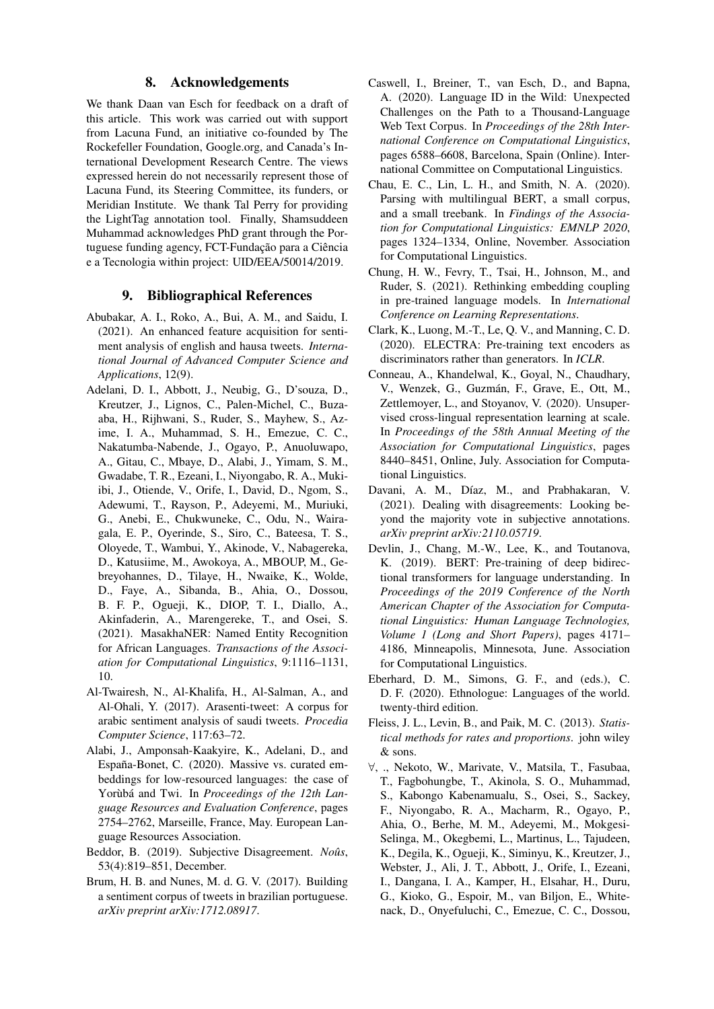### 8. Acknowledgements

We thank Daan van Esch for feedback on a draft of this article. This work was carried out with support from Lacuna Fund, an initiative co-founded by The Rockefeller Foundation, Google.org, and Canada's International Development Research Centre. The views expressed herein do not necessarily represent those of Lacuna Fund, its Steering Committee, its funders, or Meridian Institute. We thank Tal Perry for providing the LightTag annotation tool. Finally, Shamsuddeen Muhammad acknowledges PhD grant through the Portuguese funding agency, FCT-Fundação para a Ciência e a Tecnologia within project: UID/EEA/50014/2019.

### 9. Bibliographical References

- <span id="page-8-2"></span>Abubakar, A. I., Roko, A., Bui, A. M., and Saidu, I. (2021). An enhanced feature acquisition for sentiment analysis of english and hausa tweets. *International Journal of Advanced Computer Science and Applications*, 12(9).
- <span id="page-8-1"></span>Adelani, D. I., Abbott, J., Neubig, G., D'souza, D., Kreutzer, J., Lignos, C., Palen-Michel, C., Buzaaba, H., Rijhwani, S., Ruder, S., Mayhew, S., Azime, I. A., Muhammad, S. H., Emezue, C. C., Nakatumba-Nabende, J., Ogayo, P., Anuoluwapo, A., Gitau, C., Mbaye, D., Alabi, J., Yimam, S. M., Gwadabe, T. R., Ezeani, I., Niyongabo, R. A., Mukiibi, J., Otiende, V., Orife, I., David, D., Ngom, S., Adewumi, T., Rayson, P., Adeyemi, M., Muriuki, G., Anebi, E., Chukwuneke, C., Odu, N., Wairagala, E. P., Oyerinde, S., Siro, C., Bateesa, T. S., Oloyede, T., Wambui, Y., Akinode, V., Nabagereka, D., Katusiime, M., Awokoya, A., MBOUP, M., Gebreyohannes, D., Tilaye, H., Nwaike, K., Wolde, D., Faye, A., Sibanda, B., Ahia, O., Dossou, B. F. P., Ogueji, K., DIOP, T. I., Diallo, A., Akinfaderin, A., Marengereke, T., and Osei, S. (2021). MasakhaNER: Named Entity Recognition for African Languages. *Transactions of the Association for Computational Linguistics*, 9:1116–1131, 10.
- <span id="page-8-4"></span>Al-Twairesh, N., Al-Khalifa, H., Al-Salman, A., and Al-Ohali, Y. (2017). Arasenti-tweet: A corpus for arabic sentiment analysis of saudi tweets. *Procedia Computer Science*, 117:63–72.
- <span id="page-8-13"></span>Alabi, J., Amponsah-Kaakyire, K., Adelani, D., and España-Bonet, C. (2020). Massive vs. curated embeddings for low-resourced languages: the case of Yorùbá and Twi. In *Proceedings of the 12th Language Resources and Evaluation Conference*, pages 2754–2762, Marseille, France, May. European Language Resources Association.
- <span id="page-8-6"></span>Beddor, B. (2019). Subjective Disagreement. *Noûs*, 53(4):819–851, December.
- <span id="page-8-3"></span>Brum, H. B. and Nunes, M. d. G. V. (2017). Building a sentiment corpus of tweets in brazilian portuguese. *arXiv preprint arXiv:1712.08917*.
- <span id="page-8-5"></span>Caswell, I., Breiner, T., van Esch, D., and Bapna, A. (2020). Language ID in the Wild: Unexpected Challenges on the Path to a Thousand-Language Web Text Corpus. In *Proceedings of the 28th International Conference on Computational Linguistics*, pages 6588–6608, Barcelona, Spain (Online). International Committee on Computational Linguistics.
- <span id="page-8-14"></span>Chau, E. C., Lin, L. H., and Smith, N. A. (2020). Parsing with multilingual BERT, a small corpus, and a small treebank. In *Findings of the Association for Computational Linguistics: EMNLP 2020*, pages 1324–1334, Online, November. Association for Computational Linguistics.
- <span id="page-8-11"></span>Chung, H. W., Fevry, T., Tsai, H., Johnson, M., and Ruder, S. (2021). Rethinking embedding coupling in pre-trained language models. In *International Conference on Learning Representations*.
- <span id="page-8-12"></span>Clark, K., Luong, M.-T., Le, Q. V., and Manning, C. D. (2020). ELECTRA: Pre-training text encoders as discriminators rather than generators. In *ICLR*.
- <span id="page-8-10"></span>Conneau, A., Khandelwal, K., Goyal, N., Chaudhary, V., Wenzek, G., Guzmán, F., Grave, E., Ott, M., Zettlemoyer, L., and Stoyanov, V. (2020). Unsupervised cross-lingual representation learning at scale. In *Proceedings of the 58th Annual Meeting of the Association for Computational Linguistics*, pages 8440–8451, Online, July. Association for Computational Linguistics.
- <span id="page-8-7"></span>Davani, A. M., Díaz, M., and Prabhakaran, V. (2021). Dealing with disagreements: Looking beyond the majority vote in subjective annotations. *arXiv preprint arXiv:2110.05719*.
- <span id="page-8-9"></span>Devlin, J., Chang, M.-W., Lee, K., and Toutanova, K. (2019). BERT: Pre-training of deep bidirectional transformers for language understanding. In *Proceedings of the 2019 Conference of the North American Chapter of the Association for Computational Linguistics: Human Language Technologies, Volume 1 (Long and Short Papers)*, pages 4171– 4186, Minneapolis, Minnesota, June. Association for Computational Linguistics.
- <span id="page-8-15"></span>Eberhard, D. M., Simons, G. F., and (eds.), C. D. F. (2020). Ethnologue: Languages of the world. twenty-third edition.
- <span id="page-8-8"></span>Fleiss, J. L., Levin, B., and Paik, M. C. (2013). *Statistical methods for rates and proportions*. john wiley & sons.
- <span id="page-8-0"></span>∀, ., Nekoto, W., Marivate, V., Matsila, T., Fasubaa, T., Fagbohungbe, T., Akinola, S. O., Muhammad, S., Kabongo Kabenamualu, S., Osei, S., Sackey, F., Niyongabo, R. A., Macharm, R., Ogayo, P., Ahia, O., Berhe, M. M., Adeyemi, M., Mokgesi-Selinga, M., Okegbemi, L., Martinus, L., Tajudeen, K., Degila, K., Ogueji, K., Siminyu, K., Kreutzer, J., Webster, J., Ali, J. T., Abbott, J., Orife, I., Ezeani, I., Dangana, I. A., Kamper, H., Elsahar, H., Duru, G., Kioko, G., Espoir, M., van Biljon, E., Whitenack, D., Onyefuluchi, C., Emezue, C. C., Dossou,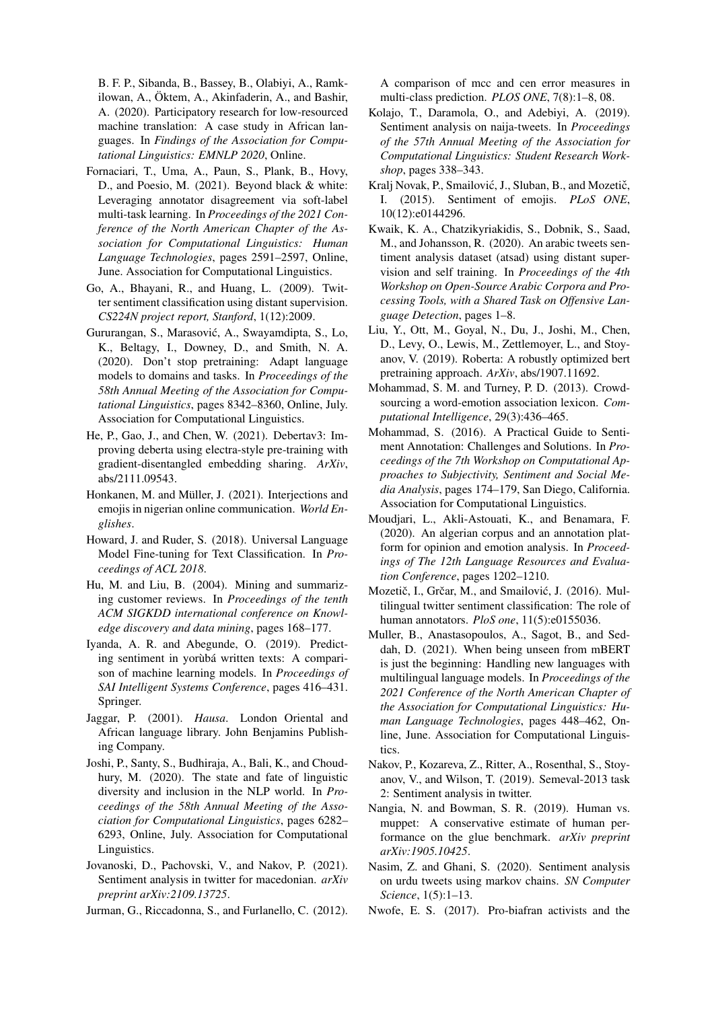B. F. P., Sibanda, B., Bassey, B., Olabiyi, A., Ramkilowan, A., Öktem, A., Akinfaderin, A., and Bashir, A. (2020). Participatory research for low-resourced machine translation: A case study in African languages. In *Findings of the Association for Computational Linguistics: EMNLP 2020*, Online.

- <span id="page-9-15"></span>Fornaciari, T., Uma, A., Paun, S., Plank, B., Hovy, D., and Poesio, M. (2021). Beyond black & white: Leveraging annotator disagreement via soft-label multi-task learning. In *Proceedings of the 2021 Conference of the North American Chapter of the Association for Computational Linguistics: Human Language Technologies*, pages 2591–2597, Online, June. Association for Computational Linguistics.
- <span id="page-9-4"></span>Go, A., Bhayani, R., and Huang, L. (2009). Twitter sentiment classification using distant supervision. *CS224N project report, Stanford*, 1(12):2009.
- <span id="page-9-22"></span>Gururangan, S., Marasovic, A., Swayamdipta, S., Lo, ´ K., Beltagy, I., Downey, D., and Smith, N. A. (2020). Don't stop pretraining: Adapt language models to domains and tasks. In *Proceedings of the 58th Annual Meeting of the Association for Computational Linguistics*, pages 8342–8360, Online, July. Association for Computational Linguistics.
- <span id="page-9-20"></span>He, P., Gao, J., and Chen, W. (2021). Debertav3: Improving deberta using electra-style pre-training with gradient-disentangled embedding sharing. *ArXiv*, abs/2111.09543.
- <span id="page-9-11"></span>Honkanen, M. and Müller, J. (2021). Interjections and emojis in nigerian online communication. *World Englishes*.
- <span id="page-9-21"></span>Howard, J. and Ruder, S. (2018). Universal Language Model Fine-tuning for Text Classification. In *Proceedings of ACL 2018*.
- <span id="page-9-12"></span>Hu, M. and Liu, B. (2004). Mining and summarizing customer reviews. In *Proceedings of the tenth ACM SIGKDD international conference on Knowledge discovery and data mining*, pages 168–177.
- <span id="page-9-2"></span>Iyanda, A. R. and Abegunde, O. (2019). Predicting sentiment in yorùbá written texts: A comparison of machine learning models. In *Proceedings of SAI Intelligent Systems Conference*, pages 416–431. Springer.
- <span id="page-9-24"></span>Jaggar, P. (2001). *Hausa*. London Oriental and African language library. John Benjamins Publishing Company.
- <span id="page-9-1"></span>Joshi, P., Santy, S., Budhiraja, A., Bali, K., and Choudhury, M. (2020). The state and fate of linguistic diversity and inclusion in the NLP world. In *Proceedings of the 58th Annual Meeting of the Association for Computational Linguistics*, pages 6282– 6293, Online, July. Association for Computational Linguistics.
- <span id="page-9-3"></span>Jovanoski, D., Pachovski, V., and Nakov, P. (2021). Sentiment analysis in twitter for macedonian. *arXiv preprint arXiv:2109.13725*.
- <span id="page-9-18"></span>Jurman, G., Riccadonna, S., and Furlanello, C. (2012).

A comparison of mcc and cen error measures in multi-class prediction. *PLOS ONE*, 7(8):1–8, 08.

- <span id="page-9-10"></span>Kolajo, T., Daramola, O., and Adebiyi, A. (2019). Sentiment analysis on naija-tweets. In *Proceedings of the 57th Annual Meeting of the Association for Computational Linguistics: Student Research Workshop*, pages 338–343.
- <span id="page-9-13"></span>Kralj Novak, P., Smailović, J., Sluban, B., and Mozetič, I. (2015). Sentiment of emojis. *PLoS ONE*, 10(12):e0144296.
- <span id="page-9-5"></span>Kwaik, K. A., Chatzikyriakidis, S., Dobnik, S., Saad, M., and Johansson, R. (2020). An arabic tweets sentiment analysis dataset (atsad) using distant supervision and self training. In *Proceedings of the 4th Workshop on Open-Source Arabic Corpora and Processing Tools, with a Shared Task on Offensive Language Detection*, pages 1–8.
- <span id="page-9-19"></span>Liu, Y., Ott, M., Goyal, N., Du, J., Joshi, M., Chen, D., Levy, O., Lewis, M., Zettlemoyer, L., and Stoyanov, V. (2019). Roberta: A robustly optimized bert pretraining approach. *ArXiv*, abs/1907.11692.
- <span id="page-9-16"></span>Mohammad, S. M. and Turney, P. D. (2013). Crowdsourcing a word-emotion association lexicon. *Computational Intelligence*, 29(3):436–465.
- <span id="page-9-14"></span>Mohammad, S. (2016). A Practical Guide to Sentiment Annotation: Challenges and Solutions. In *Proceedings of the 7th Workshop on Computational Approaches to Subjectivity, Sentiment and Social Media Analysis*, pages 174–179, San Diego, California. Association for Computational Linguistics.
- <span id="page-9-8"></span>Moudjari, L., Akli-Astouati, K., and Benamara, F. (2020). An algerian corpus and an annotation platform for opinion and emotion analysis. In *Proceedings of The 12th Language Resources and Evaluation Conference*, pages 1202–1210.
- <span id="page-9-6"></span>Mozetič, I., Grčar, M., and Smailović, J. (2016). Multilingual twitter sentiment classification: The role of human annotators. *PloS one*, 11(5):e0155036.
- <span id="page-9-23"></span>Muller, B., Anastasopoulos, A., Sagot, B., and Seddah, D. (2021). When being unseen from mBERT is just the beginning: Handling new languages with multilingual language models. In *Proceedings of the 2021 Conference of the North American Chapter of the Association for Computational Linguistics: Human Language Technologies*, pages 448–462, Online, June. Association for Computational Linguistics.
- <span id="page-9-7"></span>Nakov, P., Kozareva, Z., Ritter, A., Rosenthal, S., Stoyanov, V., and Wilson, T. (2019). Semeval-2013 task 2: Sentiment analysis in twitter.
- <span id="page-9-17"></span>Nangia, N. and Bowman, S. R. (2019). Human vs. muppet: A conservative estimate of human performance on the glue benchmark. *arXiv preprint arXiv:1905.10425*.
- <span id="page-9-0"></span>Nasim, Z. and Ghani, S. (2020). Sentiment analysis on urdu tweets using markov chains. *SN Computer Science*, 1(5):1–13.
- <span id="page-9-9"></span>Nwofe, E. S. (2017). Pro-biafran activists and the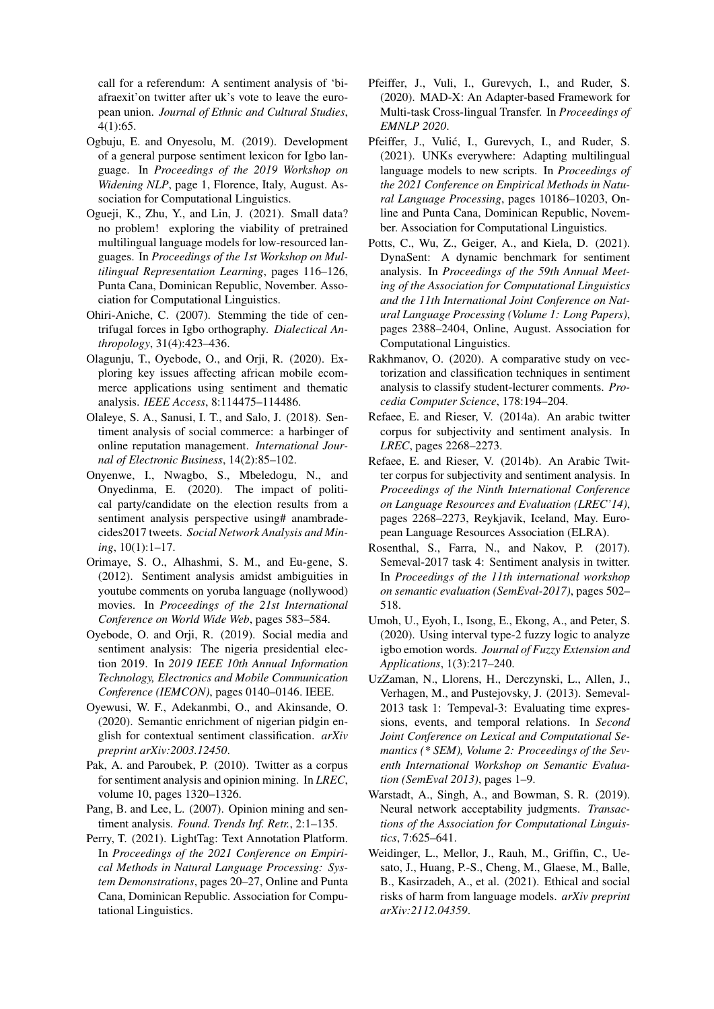call for a referendum: A sentiment analysis of 'biafraexit'on twitter after uk's vote to leave the european union. *Journal of Ethnic and Cultural Studies*, 4(1):65.

- <span id="page-10-4"></span>Ogbuju, E. and Onyesolu, M. (2019). Development of a general purpose sentiment lexicon for Igbo language. In *Proceedings of the 2019 Workshop on Widening NLP*, page 1, Florence, Italy, August. Association for Computational Linguistics.
- <span id="page-10-2"></span>Ogueji, K., Zhu, Y., and Lin, J. (2021). Small data? no problem! exploring the viability of pretrained multilingual language models for low-resourced languages. In *Proceedings of the 1st Workshop on Multilingual Representation Learning*, pages 116–126, Punta Cana, Dominican Republic, November. Association for Computational Linguistics.
- <span id="page-10-22"></span>Ohiri-Aniche, C. (2007). Stemming the tide of centrifugal forces in Igbo orthography. *Dialectical Anthropology*, 31(4):423–436.
- <span id="page-10-13"></span>Olagunju, T., Oyebode, O., and Orji, R. (2020). Exploring key issues affecting african mobile ecommerce applications using sentiment and thematic analysis. *IEEE Access*, 8:114475–114486.
- <span id="page-10-10"></span>Olaleye, S. A., Sanusi, I. T., and Salo, J. (2018). Sentiment analysis of social commerce: a harbinger of online reputation management. *International Journal of Electronic Business*, 14(2):85–102.
- <span id="page-10-14"></span>Onyenwe, I., Nwagbo, S., Mbeledogu, N., and Onyedinma, E. (2020). The impact of political party/candidate on the election results from a sentiment analysis perspective using# anambradecides2017 tweets. *Social Network Analysis and Mining*, 10(1):1–17.
- <span id="page-10-7"></span>Orimaye, S. O., Alhashmi, S. M., and Eu-gene, S. (2012). Sentiment analysis amidst ambiguities in youtube comments on yoruba language (nollywood) movies. In *Proceedings of the 21st International Conference on World Wide Web*, pages 583–584.
- <span id="page-10-11"></span>Oyebode, O. and Orji, R. (2019). Social media and sentiment analysis: The nigeria presidential election 2019. In *2019 IEEE 10th Annual Information Technology, Electronics and Mobile Communication Conference (IEMCON)*, pages 0140–0146. IEEE.
- <span id="page-10-6"></span>Oyewusi, W. F., Adekanmbi, O., and Akinsande, O. (2020). Semantic enrichment of nigerian pidgin english for contextual sentiment classification. *arXiv preprint arXiv:2003.12450*.
- <span id="page-10-8"></span>Pak, A. and Paroubek, P. (2010). Twitter as a corpus for sentiment analysis and opinion mining. In *LREC*, volume 10, pages 1320–1326.
- <span id="page-10-0"></span>Pang, B. and Lee, L. (2007). Opinion mining and sentiment analysis. *Found. Trends Inf. Retr.*, 2:1–135.
- <span id="page-10-17"></span>Perry, T. (2021). LightTag: Text Annotation Platform. In *Proceedings of the 2021 Conference on Empirical Methods in Natural Language Processing: System Demonstrations*, pages 20–27, Online and Punta Cana, Dominican Republic. Association for Computational Linguistics.
- <span id="page-10-3"></span>Pfeiffer, J., Vuli, I., Gurevych, I., and Ruder, S. (2020). MAD-X: An Adapter-based Framework for Multi-task Cross-lingual Transfer. In *Proceedings of EMNLP 2020*.
- <span id="page-10-21"></span>Pfeiffer, J., Vulić, I., Gurevych, I., and Ruder, S. (2021). UNKs everywhere: Adapting multilingual language models to new scripts. In *Proceedings of the 2021 Conference on Empirical Methods in Natural Language Processing*, pages 10186–10203, Online and Punta Cana, Dominican Republic, November. Association for Computational Linguistics.
- <span id="page-10-18"></span>Potts, C., Wu, Z., Geiger, A., and Kiela, D. (2021). DynaSent: A dynamic benchmark for sentiment analysis. In *Proceedings of the 59th Annual Meeting of the Association for Computational Linguistics and the 11th International Joint Conference on Natural Language Processing (Volume 1: Long Papers)*, pages 2388–2404, Online, August. Association for Computational Linguistics.
- <span id="page-10-12"></span>Rakhmanov, O. (2020). A comparative study on vectorization and classification techniques in sentiment analysis to classify student-lecturer comments. *Procedia Computer Science*, 178:194–204.
- <span id="page-10-9"></span>Refaee, E. and Rieser, V. (2014a). An arabic twitter corpus for subjectivity and sentiment analysis. In *LREC*, pages 2268–2273.
- <span id="page-10-16"></span>Refaee, E. and Rieser, V. (2014b). An Arabic Twitter corpus for subjectivity and sentiment analysis. In *Proceedings of the Ninth International Conference on Language Resources and Evaluation (LREC'14)*, pages 2268–2273, Reykjavik, Iceland, May. European Language Resources Association (ELRA).
- <span id="page-10-20"></span>Rosenthal, S., Farra, N., and Nakov, P. (2017). Semeval-2017 task 4: Sentiment analysis in twitter. In *Proceedings of the 11th international workshop on semantic evaluation (SemEval-2017)*, pages 502– 518.
- <span id="page-10-5"></span>Umoh, U., Eyoh, I., Isong, E., Ekong, A., and Peter, S. (2020). Using interval type-2 fuzzy logic to analyze igbo emotion words. *Journal of Fuzzy Extension and Applications*, 1(3):217–240.
- <span id="page-10-15"></span>UzZaman, N., Llorens, H., Derczynski, L., Allen, J., Verhagen, M., and Pustejovsky, J. (2013). Semeval-2013 task 1: Tempeval-3: Evaluating time expressions, events, and temporal relations. In *Second Joint Conference on Lexical and Computational Semantics (\* SEM), Volume 2: Proceedings of the Seventh International Workshop on Semantic Evaluation (SemEval 2013)*, pages 1–9.
- <span id="page-10-19"></span>Warstadt, A., Singh, A., and Bowman, S. R. (2019). Neural network acceptability judgments. *Transactions of the Association for Computational Linguistics*, 7:625–641.
- <span id="page-10-1"></span>Weidinger, L., Mellor, J., Rauh, M., Griffin, C., Uesato, J., Huang, P.-S., Cheng, M., Glaese, M., Balle, B., Kasirzadeh, A., et al. (2021). Ethical and social risks of harm from language models. *arXiv preprint arXiv:2112.04359*.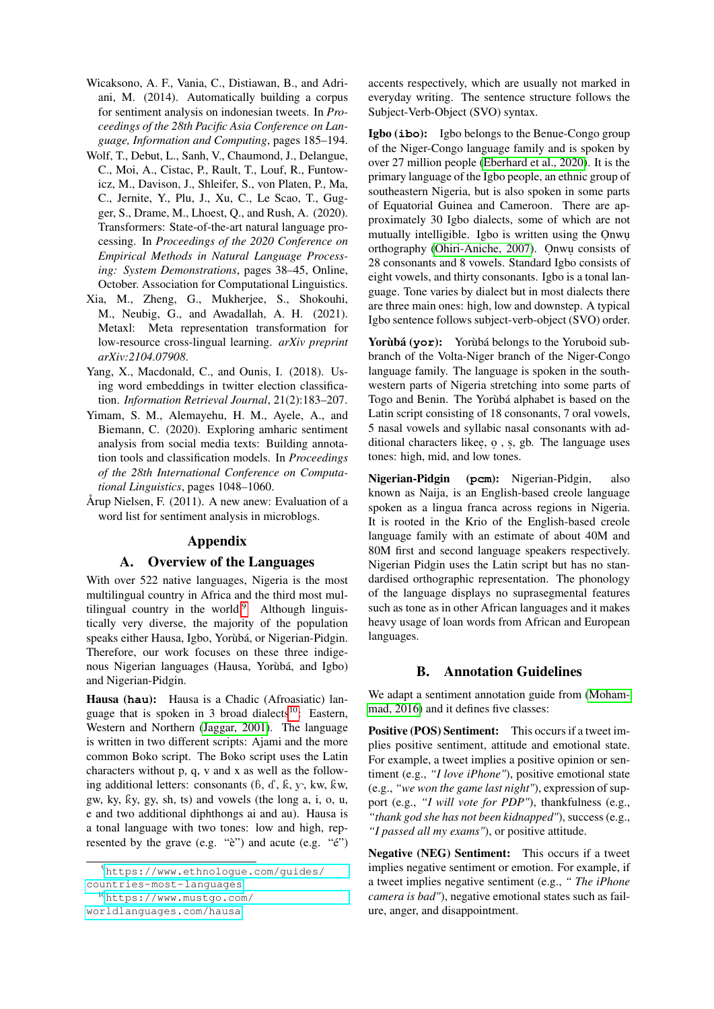- <span id="page-11-2"></span>Wicaksono, A. F., Vania, C., Distiawan, B., and Adriani, M. (2014). Automatically building a corpus for sentiment analysis on indonesian tweets. In *Proceedings of the 28th Pacific Asia Conference on Language, Information and Computing*, pages 185–194.
- <span id="page-11-5"></span>Wolf, T., Debut, L., Sanh, V., Chaumond, J., Delangue, C., Moi, A., Cistac, P., Rault, T., Louf, R., Funtowicz, M., Davison, J., Shleifer, S., von Platen, P., Ma, C., Jernite, Y., Plu, J., Xu, C., Le Scao, T., Gugger, S., Drame, M., Lhoest, Q., and Rush, A. (2020). Transformers: State-of-the-art natural language processing. In *Proceedings of the 2020 Conference on Empirical Methods in Natural Language Processing: System Demonstrations*, pages 38–45, Online, October. Association for Computational Linguistics.
- <span id="page-11-1"></span>Xia, M., Zheng, G., Mukherjee, S., Shokouhi, M., Neubig, G., and Awadallah, A. H. (2021). Metaxl: Meta representation transformation for low-resource cross-lingual learning. *arXiv preprint arXiv:2104.07908*.
- <span id="page-11-4"></span>Yang, X., Macdonald, C., and Ounis, I. (2018). Using word embeddings in twitter election classification. *Information Retrieval Journal*, 21(2):183–207.
- <span id="page-11-0"></span>Yimam, S. M., Alemayehu, H. M., Ayele, A., and Biemann, C. (2020). Exploring amharic sentiment analysis from social media texts: Building annotation tools and classification models. In *Proceedings of the 28th International Conference on Computational Linguistics*, pages 1048–1060.
- <span id="page-11-3"></span>Årup Nielsen, F. (2011). A new anew: Evaluation of a word list for sentiment analysis in microblogs.

# Appendix

### A. Overview of the Languages

With over 522 native languages, Nigeria is the most multilingual country in Africa and the third most multilingual country in the world. $9$  Although linguistically very diverse, the majority of the population speaks either Hausa, Igbo, Yorùbá, or Nigerian-Pidgin. Therefore, our work focuses on these three indigenous Nigerian languages (Hausa, Yorùbá, and Igbo) and Nigerian-Pidgin.

Hausa (**hau**): Hausa is a Chadic (Afroasiatic) lan-guage that is spoken in 3 broad dialects<sup>[10](#page-11-7)</sup>: Eastern, Western and Northern [\(Jaggar, 2001\)](#page-9-24). The language is written in two different scripts: Ajami and the more common Boko script. The Boko script uses the Latin characters without p, q, v and x as well as the following additional letters: consonants  $(6, d, k, y, kw, kw, ...)$ gw, ky, ky, gy, sh, ts) and vowels (the long  $a$ , i,  $o$ ,  $u$ , e and two additional diphthongs ai and au). Hausa is a tonal language with two tones: low and high, represented by the grave (e.g. "è") and acute (e.g. "é") accents respectively, which are usually not marked in everyday writing. The sentence structure follows the Subject-Verb-Object (SVO) syntax.

Igbo (**ibo**): Igbo belongs to the Benue-Congo group of the Niger-Congo language family and is spoken by over 27 million people [\(Eberhard et al., 2020\)](#page-8-15). It is the primary language of the Igbo people, an ethnic group of southeastern Nigeria, but is also spoken in some parts of Equatorial Guinea and Cameroon. There are approximately 30 Igbo dialects, some of which are not mutually intelligible. Igbo is written using the Onwu orthography [\(Ohiri-Aniche, 2007\)](#page-10-22). Onwu consists of 28 consonants and 8 vowels. Standard Igbo consists of eight vowels, and thirty consonants. Igbo is a tonal language. Tone varies by dialect but in most dialects there are three main ones: high, low and downstep. A typical Igbo sentence follows subject-verb-object (SVO) order.

Yor**ùbá** (yor): Yorùbá belongs to the Yoruboid subbranch of the Volta-Niger branch of the Niger-Congo language family. The language is spoken in the southwestern parts of Nigeria stretching into some parts of Togo and Benin. The Yorùbá alphabet is based on the Latin script consisting of 18 consonants, 7 oral vowels, 5 nasal vowels and syllabic nasal consonants with additional characters likee, o , s, gb. The language uses tones: high, mid, and low tones.

Nigerian-Pidgin (**pcm**): Nigerian-Pidgin, also known as Naija, is an English-based creole language spoken as a lingua franca across regions in Nigeria. It is rooted in the Krio of the English-based creole language family with an estimate of about 40M and 80M first and second language speakers respectively. Nigerian Pidgin uses the Latin script but has no standardised orthographic representation. The phonology of the language displays no suprasegmental features such as tone as in other African languages and it makes heavy usage of loan words from African and European languages.

# B. Annotation Guidelines

We adapt a sentiment annotation guide from [\(Moham](#page-9-14)[mad, 2016\)](#page-9-14) and it defines five classes:

Positive (POS) Sentiment: This occurs if a tweet implies positive sentiment, attitude and emotional state. For example, a tweet implies a positive opinion or sentiment (e.g., *"I love iPhone"*), positive emotional state (e.g., *"we won the game last night"*), expression of support (e.g., *"I will vote for PDP"*), thankfulness (e.g., *"thank god she has not been kidnapped"*), success (e.g., *"I passed all my exams"*), or positive attitude.

Negative (NEG) Sentiment: This occurs if a tweet implies negative sentiment or emotion. For example, if a tweet implies negative sentiment (e.g., *" The iPhone camera is bad"*), negative emotional states such as failure, anger, and disappointment.

<span id="page-11-6"></span><sup>9</sup>[https://www.ethnologue.com/guides/](https://www.ethnologue.com/guides/countries-most-languages) [countries-most-languages](https://www.ethnologue.com/guides/countries-most-languages)

<span id="page-11-7"></span><sup>10</sup>[https://www.mustgo.com/](https://www.mustgo.com/worldlanguages.com/hausa)

[worldlanguages.com/hausa](https://www.mustgo.com/worldlanguages.com/hausa)